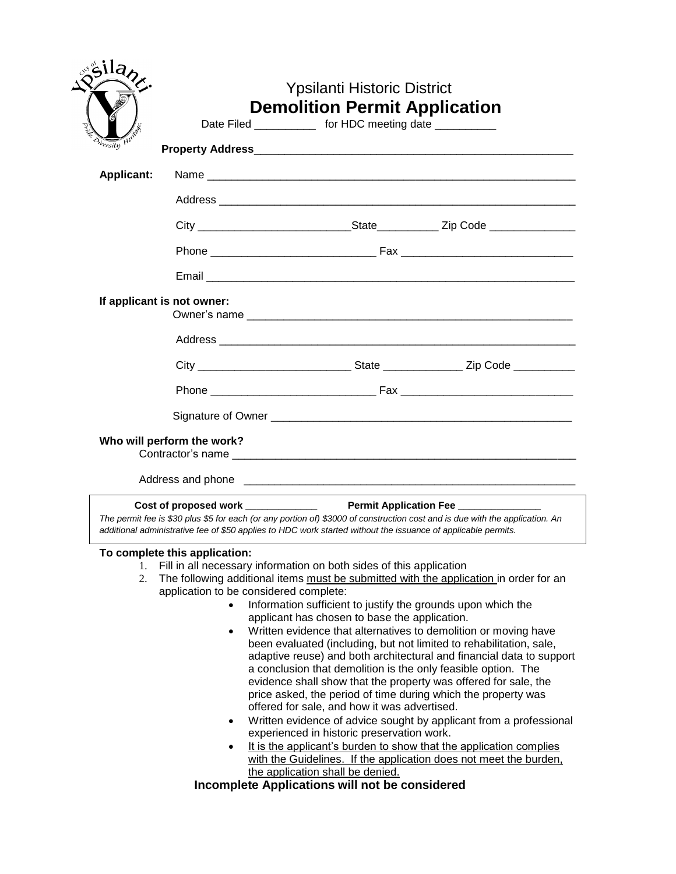| ila <sub>h</sub>  |                                                              | <b>Ypsilanti Historic District</b><br><b>Demolition Permit Application</b><br>Date Filed ______________ for HDC meeting date ___________                                                                                                                                                                                                                                                                                                                                                                                                                                                                                                                                                                                                                                                                                                                                                                                                                                                                                                                                                             |                        |
|-------------------|--------------------------------------------------------------|------------------------------------------------------------------------------------------------------------------------------------------------------------------------------------------------------------------------------------------------------------------------------------------------------------------------------------------------------------------------------------------------------------------------------------------------------------------------------------------------------------------------------------------------------------------------------------------------------------------------------------------------------------------------------------------------------------------------------------------------------------------------------------------------------------------------------------------------------------------------------------------------------------------------------------------------------------------------------------------------------------------------------------------------------------------------------------------------------|------------------------|
| Onersity. He      |                                                              |                                                                                                                                                                                                                                                                                                                                                                                                                                                                                                                                                                                                                                                                                                                                                                                                                                                                                                                                                                                                                                                                                                      |                        |
| <b>Applicant:</b> |                                                              |                                                                                                                                                                                                                                                                                                                                                                                                                                                                                                                                                                                                                                                                                                                                                                                                                                                                                                                                                                                                                                                                                                      |                        |
|                   |                                                              |                                                                                                                                                                                                                                                                                                                                                                                                                                                                                                                                                                                                                                                                                                                                                                                                                                                                                                                                                                                                                                                                                                      |                        |
|                   |                                                              |                                                                                                                                                                                                                                                                                                                                                                                                                                                                                                                                                                                                                                                                                                                                                                                                                                                                                                                                                                                                                                                                                                      |                        |
|                   |                                                              |                                                                                                                                                                                                                                                                                                                                                                                                                                                                                                                                                                                                                                                                                                                                                                                                                                                                                                                                                                                                                                                                                                      |                        |
|                   |                                                              |                                                                                                                                                                                                                                                                                                                                                                                                                                                                                                                                                                                                                                                                                                                                                                                                                                                                                                                                                                                                                                                                                                      |                        |
|                   | If applicant is not owner:                                   |                                                                                                                                                                                                                                                                                                                                                                                                                                                                                                                                                                                                                                                                                                                                                                                                                                                                                                                                                                                                                                                                                                      |                        |
|                   |                                                              |                                                                                                                                                                                                                                                                                                                                                                                                                                                                                                                                                                                                                                                                                                                                                                                                                                                                                                                                                                                                                                                                                                      |                        |
|                   |                                                              | City __________________________________State _____________________Zip Code _____________                                                                                                                                                                                                                                                                                                                                                                                                                                                                                                                                                                                                                                                                                                                                                                                                                                                                                                                                                                                                             |                        |
|                   |                                                              |                                                                                                                                                                                                                                                                                                                                                                                                                                                                                                                                                                                                                                                                                                                                                                                                                                                                                                                                                                                                                                                                                                      |                        |
|                   | Who will perform the work?                                   |                                                                                                                                                                                                                                                                                                                                                                                                                                                                                                                                                                                                                                                                                                                                                                                                                                                                                                                                                                                                                                                                                                      |                        |
|                   |                                                              | Cost of proposed work <b>Cost of proposed work</b><br>The permit fee is \$30 plus \$5 for each (or any portion of) \$3000 of construction cost and is due with the application. An<br>additional administrative fee of \$50 applies to HDC work started without the issuance of applicable permits.                                                                                                                                                                                                                                                                                                                                                                                                                                                                                                                                                                                                                                                                                                                                                                                                  | Permit Application Fee |
| 2.                | To complete this application:<br>$\bullet$<br>$\bullet$<br>٠ | 1. Fill in all necessary information on both sides of this application<br>The following additional items must be submitted with the application in order for an<br>application to be considered complete:<br>Information sufficient to justify the grounds upon which the<br>applicant has chosen to base the application.<br>Written evidence that alternatives to demolition or moving have<br>been evaluated (including, but not limited to rehabilitation, sale,<br>adaptive reuse) and both architectural and financial data to support<br>a conclusion that demolition is the only feasible option. The<br>evidence shall show that the property was offered for sale, the<br>price asked, the period of time during which the property was<br>offered for sale, and how it was advertised.<br>Written evidence of advice sought by applicant from a professional<br>experienced in historic preservation work.<br>It is the applicant's burden to show that the application complies<br>with the Guidelines. If the application does not meet the burden,<br>the application shall be denied. |                        |
|                   |                                                              | Incomplete Applications will not be considered                                                                                                                                                                                                                                                                                                                                                                                                                                                                                                                                                                                                                                                                                                                                                                                                                                                                                                                                                                                                                                                       |                        |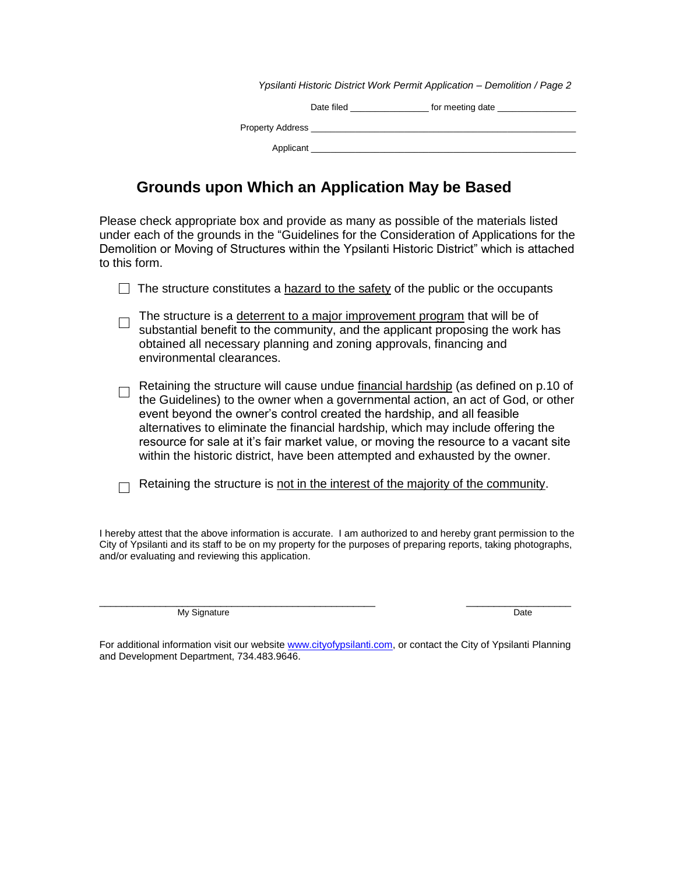| Ypsilanti Historic District Work Permit Application – Demolition / Page 2 |                                                                                                                 |  |  |  |
|---------------------------------------------------------------------------|-----------------------------------------------------------------------------------------------------------------|--|--|--|
| Date filed                                                                | for meeting date that the state of the state of the state of the state of the state of the state of the state o |  |  |  |
|                                                                           |                                                                                                                 |  |  |  |
| Applicant                                                                 |                                                                                                                 |  |  |  |

# **Grounds upon Which an Application May be Based**

Please check appropriate box and provide as many as possible of the materials listed under each of the grounds in the "Guidelines for the Consideration of Applications for the Demolition or Moving of Structures within the Ypsilanti Historic District" which is attached to this form.

| $\Box$ The structure constitutes a hazard to the safety of the public or the occupants |  |
|----------------------------------------------------------------------------------------|--|
|----------------------------------------------------------------------------------------|--|

- The structure is a deterrent to a major improvement program that will be of substantial benefit to the community, and the applicant proposing the work has obtained all necessary planning and zoning approvals, financing and environmental clearances.
- Retaining the structure will cause undue financial hardship (as defined on p.10 of the Guidelines) to the owner when a governmental action, an act of God, or other event beyond the owner's control created the hardship, and all feasible alternatives to eliminate the financial hardship, which may include offering the resource for sale at it's fair market value, or moving the resource to a vacant site within the historic district, have been attempted and exhausted by the owner.
- $\Box$  Retaining the structure is not in the interest of the majority of the community.

I hereby attest that the above information is accurate. I am authorized to and hereby grant permission to the City of Ypsilanti and its staff to be on my property for the purposes of preparing reports, taking photographs, and/or evaluating and reviewing this application.

My Signature Date Date of the United States of the United States of the United States of the Date of the United States of the United States of the United States of the United States of the United States of the United State

\_\_\_\_\_\_\_\_\_\_\_\_\_\_\_\_\_\_\_\_\_\_\_\_\_\_\_\_\_\_\_\_\_\_\_\_\_\_\_\_\_\_\_\_\_\_\_\_\_\_ \_\_\_\_\_\_\_\_\_\_\_\_\_\_\_\_\_\_\_

For additional information visit our websit[e www.cityofypsilanti.com,](http://www.cityofypsilanti.com/) or contact the City of Ypsilanti Planning and Development Department, 734.483.9646.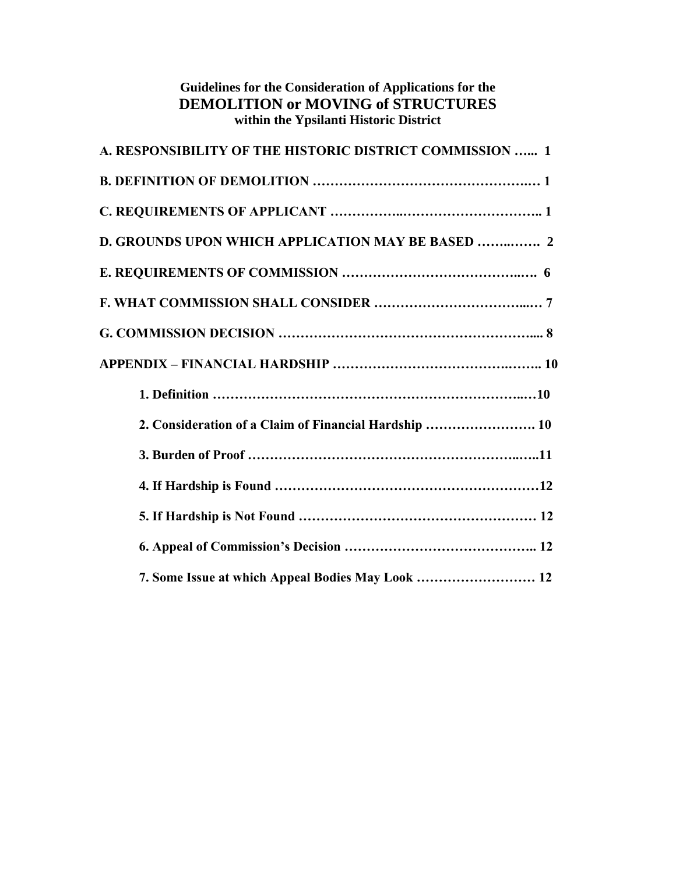| <b>DEMOLITION or MOVING of STRUCTURES</b><br>within the Ypsilanti Historic District |
|-------------------------------------------------------------------------------------|
| A. RESPONSIBILITY OF THE HISTORIC DISTRICT COMMISSION  1                            |
|                                                                                     |
|                                                                                     |
| <b>D. GROUNDS UPON WHICH APPLICATION MAY BE BASED  2</b>                            |
|                                                                                     |
|                                                                                     |
|                                                                                     |
|                                                                                     |
|                                                                                     |
| 2. Consideration of a Claim of Financial Hardship  10                               |
|                                                                                     |
|                                                                                     |
|                                                                                     |
|                                                                                     |
| 7. Some Issue at which Appeal Bodies May Look  12                                   |

**Guidelines for the Consideration of Applications for the**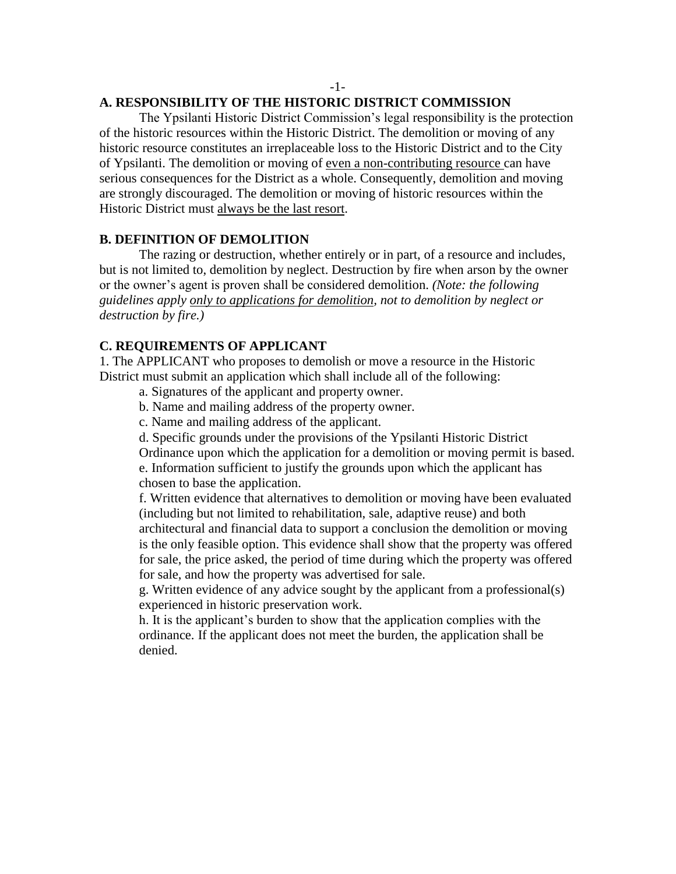### -1-

### **A. RESPONSIBILITY OF THE HISTORIC DISTRICT COMMISSION**

The Ypsilanti Historic District Commission's legal responsibility is the protection of the historic resources within the Historic District. The demolition or moving of any historic resource constitutes an irreplaceable loss to the Historic District and to the City of Ypsilanti. The demolition or moving of even a non-contributing resource can have serious consequences for the District as a whole. Consequently, demolition and moving are strongly discouraged. The demolition or moving of historic resources within the Historic District must always be the last resort.

### **B. DEFINITION OF DEMOLITION**

The razing or destruction, whether entirely or in part, of a resource and includes, but is not limited to, demolition by neglect. Destruction by fire when arson by the owner or the owner's agent is proven shall be considered demolition. *(Note: the following guidelines apply only to applications for demolition, not to demolition by neglect or destruction by fire.)* 

### **C. REQUIREMENTS OF APPLICANT**

1. The APPLICANT who proposes to demolish or move a resource in the Historic District must submit an application which shall include all of the following:

- a. Signatures of the applicant and property owner.
- b. Name and mailing address of the property owner.
- c. Name and mailing address of the applicant.
- d. Specific grounds under the provisions of the Ypsilanti Historic District

Ordinance upon which the application for a demolition or moving permit is based. e. Information sufficient to justify the grounds upon which the applicant has chosen to base the application.

f. Written evidence that alternatives to demolition or moving have been evaluated (including but not limited to rehabilitation, sale, adaptive reuse) and both architectural and financial data to support a conclusion the demolition or moving is the only feasible option. This evidence shall show that the property was offered for sale, the price asked, the period of time during which the property was offered for sale, and how the property was advertised for sale.

g. Written evidence of any advice sought by the applicant from a professional(s) experienced in historic preservation work.

h. It is the applicant's burden to show that the application complies with the ordinance. If the applicant does not meet the burden, the application shall be denied.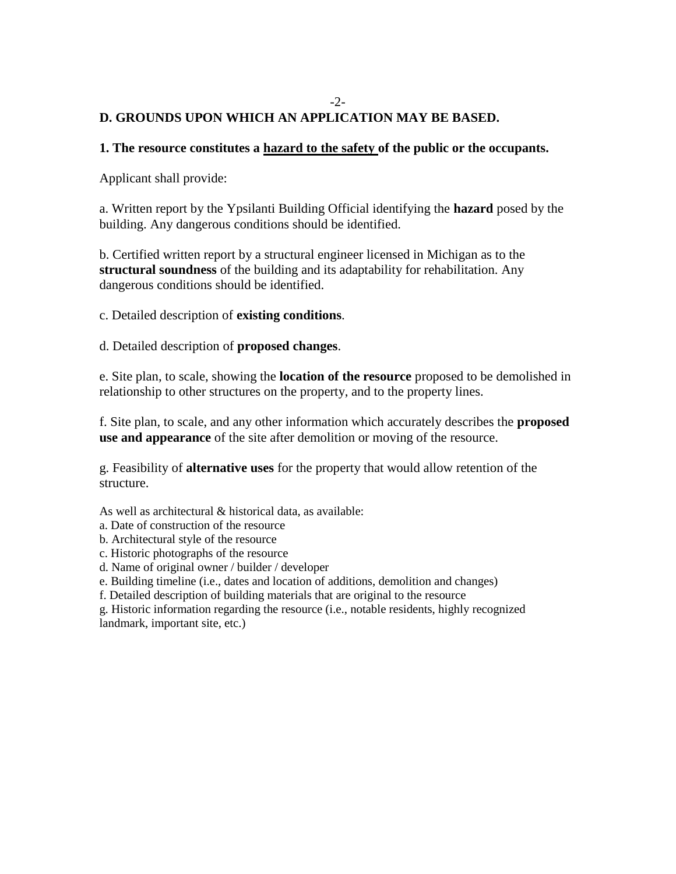# **D. GROUNDS UPON WHICH AN APPLICATION MAY BE BASED.**

### **1. The resource constitutes a hazard to the safety of the public or the occupants.**

-2-

Applicant shall provide:

a. Written report by the Ypsilanti Building Official identifying the **hazard** posed by the building. Any dangerous conditions should be identified.

b. Certified written report by a structural engineer licensed in Michigan as to the **structural soundness** of the building and its adaptability for rehabilitation. Any dangerous conditions should be identified.

c. Detailed description of **existing conditions**.

d. Detailed description of **proposed changes**.

e. Site plan, to scale, showing the **location of the resource** proposed to be demolished in relationship to other structures on the property, and to the property lines.

f. Site plan, to scale, and any other information which accurately describes the **proposed use and appearance** of the site after demolition or moving of the resource.

g. Feasibility of **alternative uses** for the property that would allow retention of the structure.

As well as architectural & historical data, as available:

a. Date of construction of the resource

b. Architectural style of the resource

- c. Historic photographs of the resource
- d. Name of original owner / builder / developer

e. Building timeline (i.e., dates and location of additions, demolition and changes)

f. Detailed description of building materials that are original to the resource

g. Historic information regarding the resource (i.e., notable residents, highly recognized landmark, important site, etc.)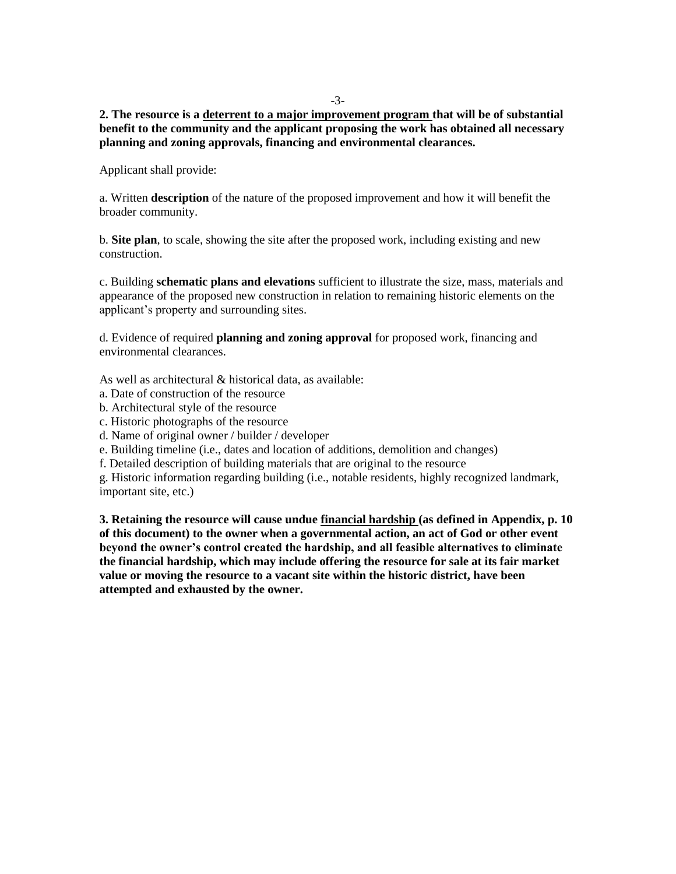-3-

**2. The resource is a deterrent to a major improvement program that will be of substantial benefit to the community and the applicant proposing the work has obtained all necessary planning and zoning approvals, financing and environmental clearances.** 

Applicant shall provide:

a. Written **description** of the nature of the proposed improvement and how it will benefit the broader community.

b. **Site plan**, to scale, showing the site after the proposed work, including existing and new construction.

c. Building **schematic plans and elevations** sufficient to illustrate the size, mass, materials and appearance of the proposed new construction in relation to remaining historic elements on the applicant's property and surrounding sites.

d. Evidence of required **planning and zoning approval** for proposed work, financing and environmental clearances.

As well as architectural & historical data, as available:

- a. Date of construction of the resource
- b. Architectural style of the resource
- c. Historic photographs of the resource

d. Name of original owner / builder / developer

e. Building timeline (i.e., dates and location of additions, demolition and changes)

f. Detailed description of building materials that are original to the resource

g. Historic information regarding building (i.e., notable residents, highly recognized landmark, important site, etc.)

**3. Retaining the resource will cause undue financial hardship (as defined in Appendix, p. 10 of this document) to the owner when a governmental action, an act of God or other event beyond the owner's control created the hardship, and all feasible alternatives to eliminate the financial hardship, which may include offering the resource for sale at its fair market value or moving the resource to a vacant site within the historic district, have been attempted and exhausted by the owner.**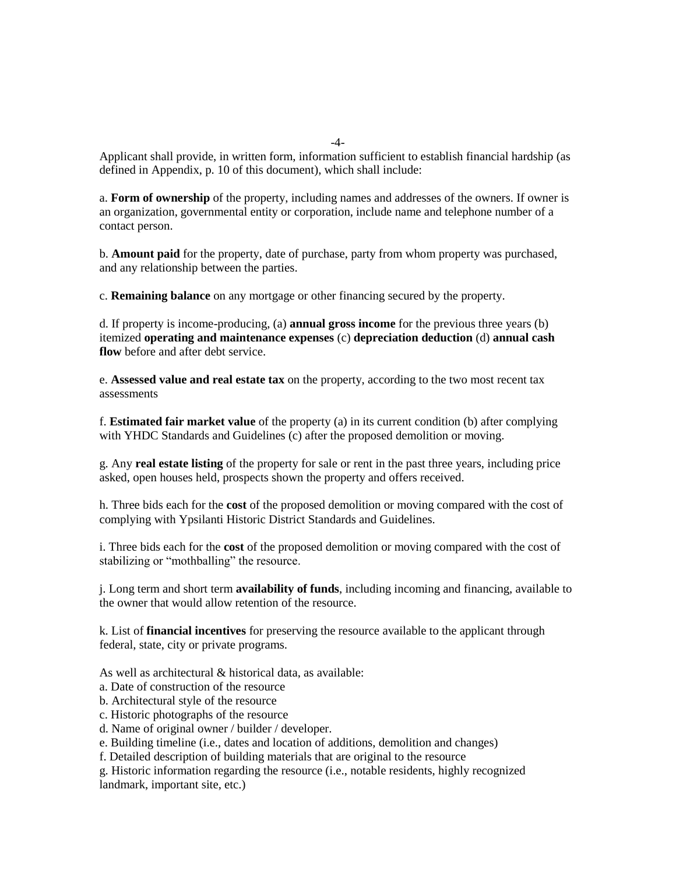Applicant shall provide, in written form, information sufficient to establish financial hardship (as defined in Appendix, p. 10 of this document), which shall include:

a. **Form of ownership** of the property, including names and addresses of the owners. If owner is an organization, governmental entity or corporation, include name and telephone number of a contact person.

b. **Amount paid** for the property, date of purchase, party from whom property was purchased, and any relationship between the parties.

c. **Remaining balance** on any mortgage or other financing secured by the property.

d. If property is income-producing, (a) **annual gross income** for the previous three years (b) itemized **operating and maintenance expenses** (c) **depreciation deduction** (d) **annual cash flow** before and after debt service.

e. **Assessed value and real estate tax** on the property, according to the two most recent tax assessments

f. **Estimated fair market value** of the property (a) in its current condition (b) after complying with YHDC Standards and Guidelines (c) after the proposed demolition or moving.

g. Any **real estate listing** of the property for sale or rent in the past three years, including price asked, open houses held, prospects shown the property and offers received.

h. Three bids each for the **cost** of the proposed demolition or moving compared with the cost of complying with Ypsilanti Historic District Standards and Guidelines.

i. Three bids each for the **cost** of the proposed demolition or moving compared with the cost of stabilizing or "mothballing" the resource.

j. Long term and short term **availability of funds**, including incoming and financing, available to the owner that would allow retention of the resource.

k. List of **financial incentives** for preserving the resource available to the applicant through federal, state, city or private programs.

As well as architectural & historical data, as available:

a. Date of construction of the resource

b. Architectural style of the resource

c. Historic photographs of the resource

d. Name of original owner / builder / developer.

e. Building timeline (i.e., dates and location of additions, demolition and changes)

f. Detailed description of building materials that are original to the resource

g. Historic information regarding the resource (i.e., notable residents, highly recognized landmark, important site, etc.)

-4-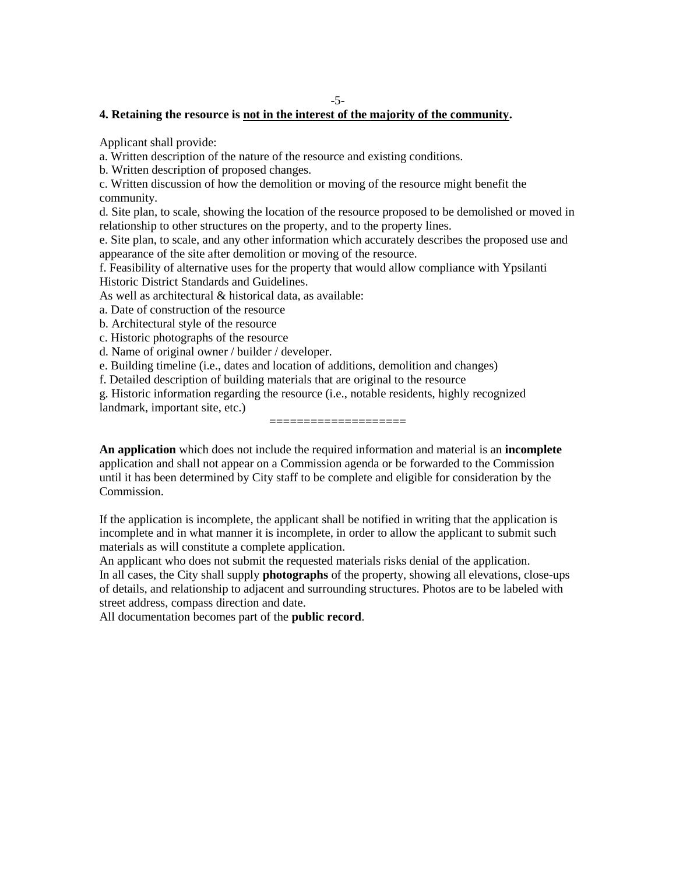### **4. Retaining the resource is not in the interest of the majority of the community.**

Applicant shall provide:

a. Written description of the nature of the resource and existing conditions.

b. Written description of proposed changes.

c. Written discussion of how the demolition or moving of the resource might benefit the community.

d. Site plan, to scale, showing the location of the resource proposed to be demolished or moved in relationship to other structures on the property, and to the property lines.

e. Site plan, to scale, and any other information which accurately describes the proposed use and appearance of the site after demolition or moving of the resource.

f. Feasibility of alternative uses for the property that would allow compliance with Ypsilanti Historic District Standards and Guidelines.

As well as architectural & historical data, as available:

a. Date of construction of the resource

b. Architectural style of the resource

c. Historic photographs of the resource

d. Name of original owner / builder / developer.

e. Building timeline (i.e., dates and location of additions, demolition and changes)

f. Detailed description of building materials that are original to the resource

g. Historic information regarding the resource (i.e., notable residents, highly recognized

landmark, important site, etc.)

**An application** which does not include the required information and material is an **incomplete**  application and shall not appear on a Commission agenda or be forwarded to the Commission until it has been determined by City staff to be complete and eligible for consideration by the Commission.

====================

If the application is incomplete, the applicant shall be notified in writing that the application is incomplete and in what manner it is incomplete, in order to allow the applicant to submit such materials as will constitute a complete application.

An applicant who does not submit the requested materials risks denial of the application. In all cases, the City shall supply **photographs** of the property, showing all elevations, close-ups of details, and relationship to adjacent and surrounding structures. Photos are to be labeled with street address, compass direction and date.

All documentation becomes part of the **public record**.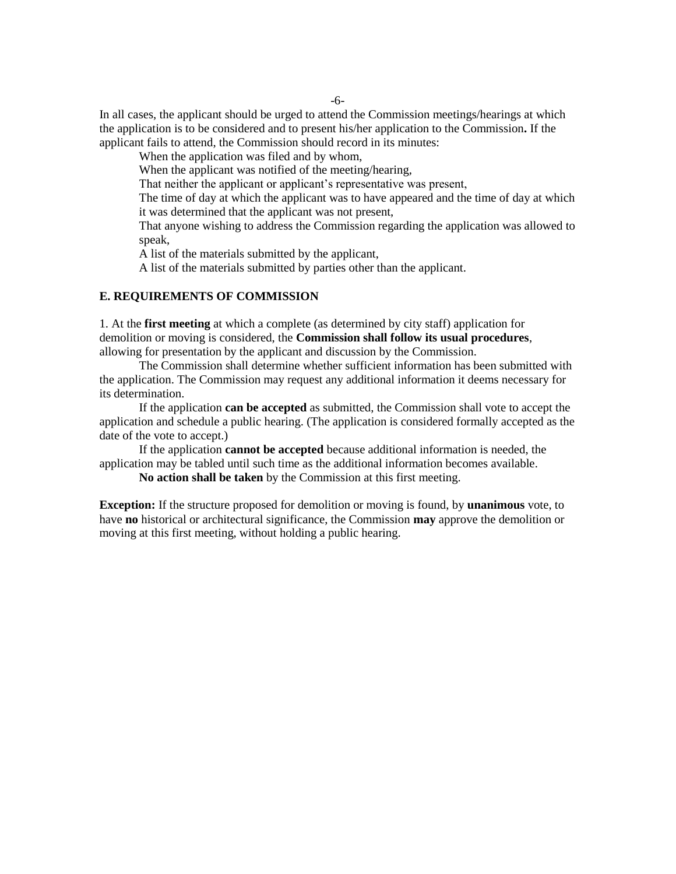-6-

In all cases, the applicant should be urged to attend the Commission meetings/hearings at which the application is to be considered and to present his/her application to the Commission**.** If the applicant fails to attend, the Commission should record in its minutes:

When the application was filed and by whom,

When the applicant was notified of the meeting/hearing,

That neither the applicant or applicant's representative was present,

The time of day at which the applicant was to have appeared and the time of day at which it was determined that the applicant was not present,

That anyone wishing to address the Commission regarding the application was allowed to speak,

A list of the materials submitted by the applicant,

A list of the materials submitted by parties other than the applicant.

#### **E. REQUIREMENTS OF COMMISSION**

1. At the **first meeting** at which a complete (as determined by city staff) application for demolition or moving is considered, the **Commission shall follow its usual procedures**, allowing for presentation by the applicant and discussion by the Commission.

The Commission shall determine whether sufficient information has been submitted with the application. The Commission may request any additional information it deems necessary for its determination.

If the application **can be accepted** as submitted, the Commission shall vote to accept the application and schedule a public hearing. (The application is considered formally accepted as the date of the vote to accept.)

If the application **cannot be accepted** because additional information is needed, the application may be tabled until such time as the additional information becomes available.

**No action shall be taken** by the Commission at this first meeting.

**Exception:** If the structure proposed for demolition or moving is found, by **unanimous** vote, to have **no** historical or architectural significance, the Commission **may** approve the demolition or moving at this first meeting, without holding a public hearing.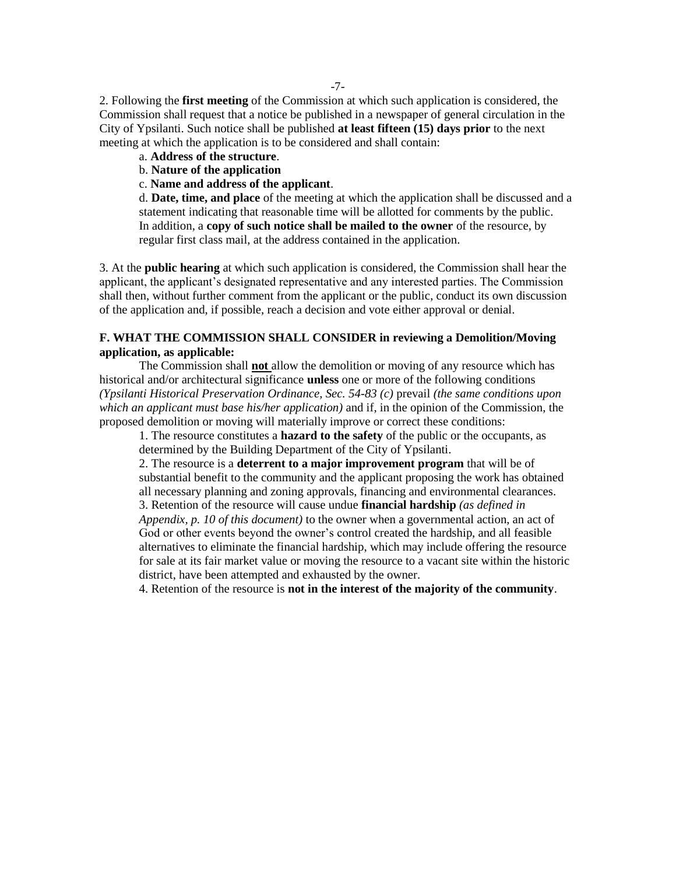2. Following the **first meeting** of the Commission at which such application is considered, the Commission shall request that a notice be published in a newspaper of general circulation in the City of Ypsilanti. Such notice shall be published **at least fifteen (15) days prior** to the next meeting at which the application is to be considered and shall contain:

## a. **Address of the structure**.

### b. **Nature of the application**

#### c. **Name and address of the applicant**.

d. **Date, time, and place** of the meeting at which the application shall be discussed and a statement indicating that reasonable time will be allotted for comments by the public. In addition, a **copy of such notice shall be mailed to the owner** of the resource, by regular first class mail, at the address contained in the application.

3. At the **public hearing** at which such application is considered, the Commission shall hear the applicant, the applicant's designated representative and any interested parties. The Commission shall then, without further comment from the applicant or the public, conduct its own discussion of the application and, if possible, reach a decision and vote either approval or denial.

### **F. WHAT THE COMMISSION SHALL CONSIDER in reviewing a Demolition/Moving application, as applicable:**

The Commission shall **not** allow the demolition or moving of any resource which has historical and/or architectural significance **unless** one or more of the following conditions *(Ypsilanti Historical Preservation Ordinance, Sec. 54-83 (c)* prevail *(the same conditions upon which an applicant must base his/her application)* and if, in the opinion of the Commission, the proposed demolition or moving will materially improve or correct these conditions:

1. The resource constitutes a **hazard to the safety** of the public or the occupants, as determined by the Building Department of the City of Ypsilanti.

2. The resource is a **deterrent to a major improvement program** that will be of substantial benefit to the community and the applicant proposing the work has obtained all necessary planning and zoning approvals, financing and environmental clearances. 3. Retention of the resource will cause undue **financial hardship** *(as defined in Appendix, p. 10 of this document)* to the owner when a governmental action, an act of God or other events beyond the owner's control created the hardship, and all feasible

alternatives to eliminate the financial hardship, which may include offering the resource for sale at its fair market value or moving the resource to a vacant site within the historic district, have been attempted and exhausted by the owner.

4. Retention of the resource is **not in the interest of the majority of the community**.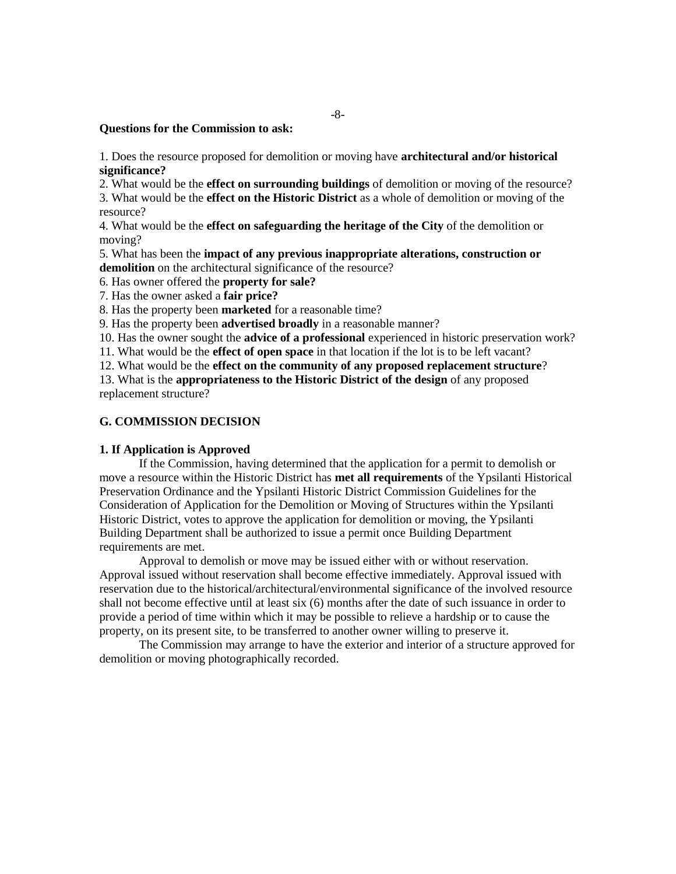#### **Questions for the Commission to ask:**

1. Does the resource proposed for demolition or moving have **architectural and/or historical significance?** 

2. What would be the **effect on surrounding buildings** of demolition or moving of the resource?

3. What would be the **effect on the Historic District** as a whole of demolition or moving of the resource?

4. What would be the **effect on safeguarding the heritage of the City** of the demolition or moving?

5. What has been the **impact of any previous inappropriate alterations, construction or**  demolition on the architectural significance of the resource?

6. Has owner offered the **property for sale?** 

7. Has the owner asked a **fair price?** 

8. Has the property been **marketed** for a reasonable time?

9. Has the property been **advertised broadly** in a reasonable manner?

10. Has the owner sought the **advice of a professional** experienced in historic preservation work?

11. What would be the **effect of open space** in that location if the lot is to be left vacant?

12. What would be the **effect on the community of any proposed replacement structure**?

13. What is the **appropriateness to the Historic District of the design** of any proposed replacement structure?

### **G. COMMISSION DECISION**

#### **1. If Application is Approved**

If the Commission, having determined that the application for a permit to demolish or move a resource within the Historic District has **met all requirements** of the Ypsilanti Historical Preservation Ordinance and the Ypsilanti Historic District Commission Guidelines for the Consideration of Application for the Demolition or Moving of Structures within the Ypsilanti Historic District, votes to approve the application for demolition or moving, the Ypsilanti Building Department shall be authorized to issue a permit once Building Department requirements are met.

Approval to demolish or move may be issued either with or without reservation. Approval issued without reservation shall become effective immediately. Approval issued with reservation due to the historical/architectural/environmental significance of the involved resource shall not become effective until at least six (6) months after the date of such issuance in order to provide a period of time within which it may be possible to relieve a hardship or to cause the property, on its present site, to be transferred to another owner willing to preserve it.

The Commission may arrange to have the exterior and interior of a structure approved for demolition or moving photographically recorded.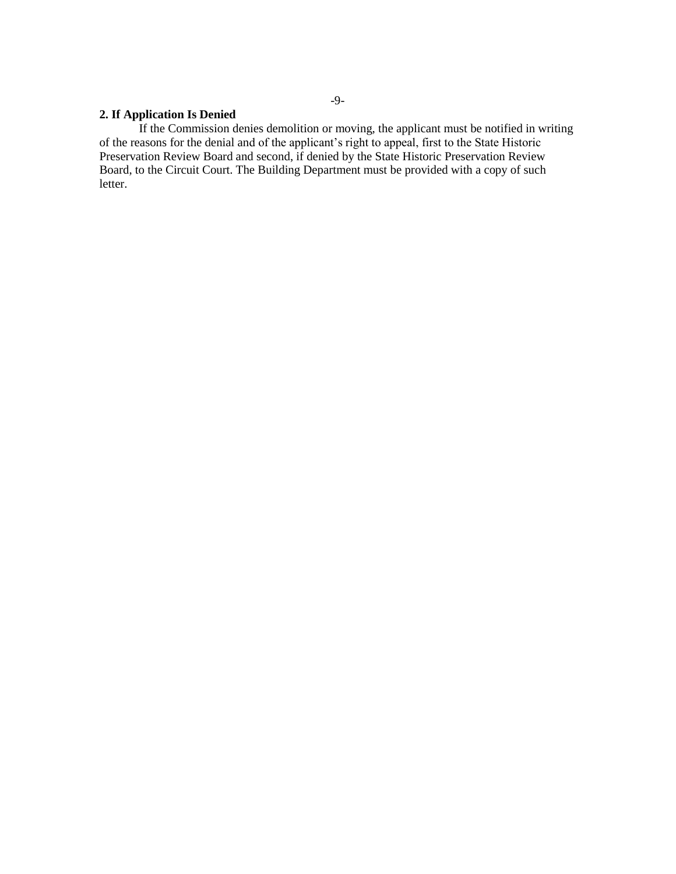### **2. If Application Is Denied**

If the Commission denies demolition or moving, the applicant must be notified in writing of the reasons for the denial and of the applicant's right to appeal, first to the State Historic Preservation Review Board and second, if denied by the State Historic Preservation Review Board, to the Circuit Court. The Building Department must be provided with a copy of such letter.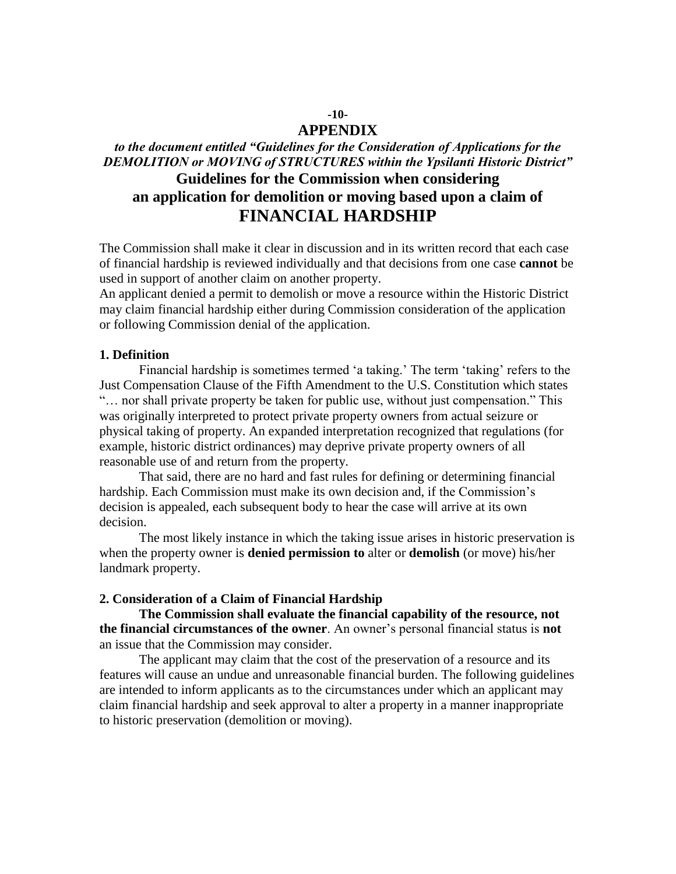## **-10-**

### **APPENDIX**

# *to the document entitled "Guidelines for the Consideration of Applications for the DEMOLITION or MOVING of STRUCTURES within the Ypsilanti Historic District"*  **Guidelines for the Commission when considering an application for demolition or moving based upon a claim of FINANCIAL HARDSHIP**

The Commission shall make it clear in discussion and in its written record that each case of financial hardship is reviewed individually and that decisions from one case **cannot** be used in support of another claim on another property.

An applicant denied a permit to demolish or move a resource within the Historic District may claim financial hardship either during Commission consideration of the application or following Commission denial of the application.

### **1. Definition**

Financial hardship is sometimes termed 'a taking.' The term 'taking' refers to the Just Compensation Clause of the Fifth Amendment to the U.S. Constitution which states "… nor shall private property be taken for public use, without just compensation." This was originally interpreted to protect private property owners from actual seizure or physical taking of property. An expanded interpretation recognized that regulations (for example, historic district ordinances) may deprive private property owners of all reasonable use of and return from the property.

That said, there are no hard and fast rules for defining or determining financial hardship. Each Commission must make its own decision and, if the Commission's decision is appealed, each subsequent body to hear the case will arrive at its own decision.

The most likely instance in which the taking issue arises in historic preservation is when the property owner is **denied permission to** alter or **demolish** (or move) his/her landmark property.

### **2. Consideration of a Claim of Financial Hardship**

**The Commission shall evaluate the financial capability of the resource, not the financial circumstances of the owner**. An owner's personal financial status is **not**  an issue that the Commission may consider.

The applicant may claim that the cost of the preservation of a resource and its features will cause an undue and unreasonable financial burden. The following guidelines are intended to inform applicants as to the circumstances under which an applicant may claim financial hardship and seek approval to alter a property in a manner inappropriate to historic preservation (demolition or moving).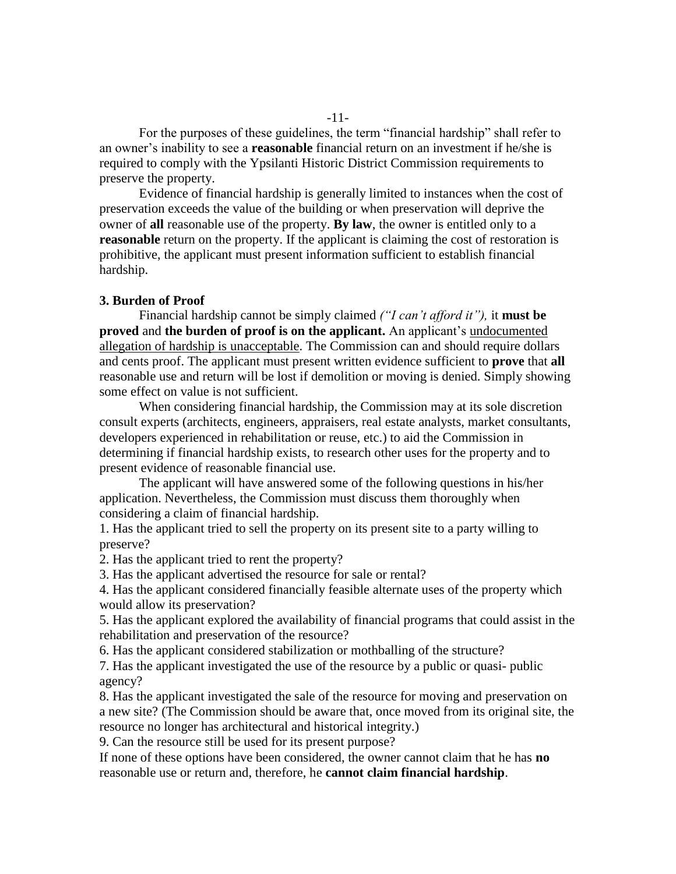For the purposes of these guidelines, the term "financial hardship" shall refer to an owner's inability to see a **reasonable** financial return on an investment if he/she is required to comply with the Ypsilanti Historic District Commission requirements to preserve the property.

Evidence of financial hardship is generally limited to instances when the cost of preservation exceeds the value of the building or when preservation will deprive the owner of **all** reasonable use of the property. **By law**, the owner is entitled only to a **reasonable** return on the property. If the applicant is claiming the cost of restoration is prohibitive, the applicant must present information sufficient to establish financial hardship.

#### **3. Burden of Proof**

Financial hardship cannot be simply claimed *("I can't afford it"),* it **must be proved** and **the burden of proof is on the applicant.** An applicant's undocumented allegation of hardship is unacceptable. The Commission can and should require dollars and cents proof. The applicant must present written evidence sufficient to **prove** that **all**  reasonable use and return will be lost if demolition or moving is denied. Simply showing some effect on value is not sufficient.

When considering financial hardship, the Commission may at its sole discretion consult experts (architects, engineers, appraisers, real estate analysts, market consultants, developers experienced in rehabilitation or reuse, etc.) to aid the Commission in determining if financial hardship exists, to research other uses for the property and to present evidence of reasonable financial use.

The applicant will have answered some of the following questions in his/her application. Nevertheless, the Commission must discuss them thoroughly when considering a claim of financial hardship.

1. Has the applicant tried to sell the property on its present site to a party willing to preserve?

2. Has the applicant tried to rent the property?

3. Has the applicant advertised the resource for sale or rental?

4. Has the applicant considered financially feasible alternate uses of the property which would allow its preservation?

5. Has the applicant explored the availability of financial programs that could assist in the rehabilitation and preservation of the resource?

6. Has the applicant considered stabilization or mothballing of the structure?

7. Has the applicant investigated the use of the resource by a public or quasi- public agency?

8. Has the applicant investigated the sale of the resource for moving and preservation on a new site? (The Commission should be aware that, once moved from its original site, the resource no longer has architectural and historical integrity.)

9. Can the resource still be used for its present purpose?

If none of these options have been considered, the owner cannot claim that he has **no**  reasonable use or return and, therefore, he **cannot claim financial hardship**.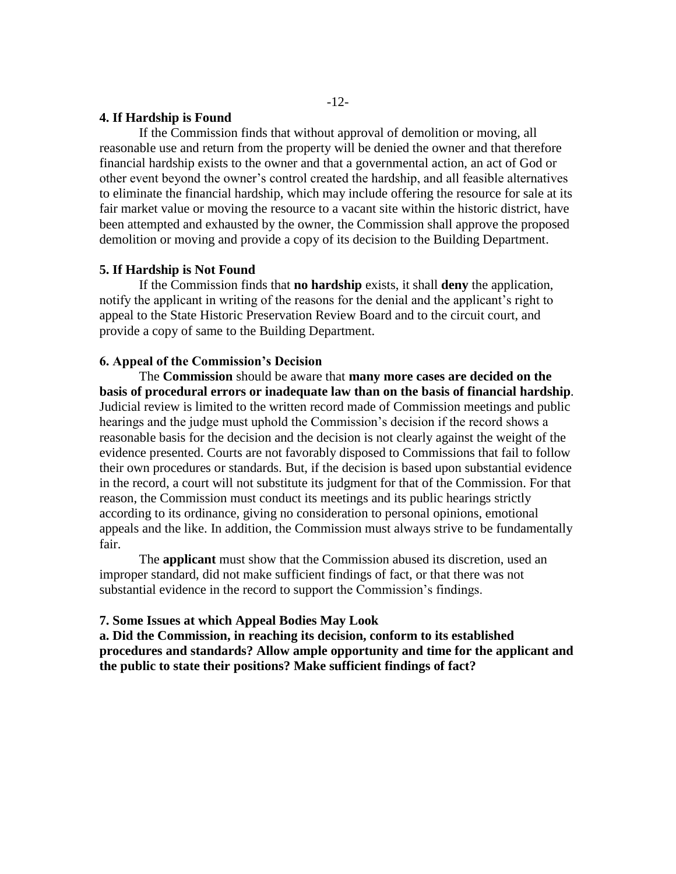### **4. If Hardship is Found**

If the Commission finds that without approval of demolition or moving, all reasonable use and return from the property will be denied the owner and that therefore financial hardship exists to the owner and that a governmental action, an act of God or other event beyond the owner's control created the hardship, and all feasible alternatives to eliminate the financial hardship, which may include offering the resource for sale at its fair market value or moving the resource to a vacant site within the historic district, have been attempted and exhausted by the owner, the Commission shall approve the proposed demolition or moving and provide a copy of its decision to the Building Department.

### **5. If Hardship is Not Found**

If the Commission finds that **no hardship** exists, it shall **deny** the application, notify the applicant in writing of the reasons for the denial and the applicant's right to appeal to the State Historic Preservation Review Board and to the circuit court, and provide a copy of same to the Building Department.

### **6. Appeal of the Commission's Decision**

The **Commission** should be aware that **many more cases are decided on the basis of procedural errors or inadequate law than on the basis of financial hardship***.*  Judicial review is limited to the written record made of Commission meetings and public hearings and the judge must uphold the Commission's decision if the record shows a reasonable basis for the decision and the decision is not clearly against the weight of the evidence presented. Courts are not favorably disposed to Commissions that fail to follow their own procedures or standards. But, if the decision is based upon substantial evidence in the record, a court will not substitute its judgment for that of the Commission. For that reason, the Commission must conduct its meetings and its public hearings strictly according to its ordinance, giving no consideration to personal opinions, emotional appeals and the like. In addition, the Commission must always strive to be fundamentally fair.

The **applicant** must show that the Commission abused its discretion, used an improper standard, did not make sufficient findings of fact, or that there was not substantial evidence in the record to support the Commission's findings.

### **7. Some Issues at which Appeal Bodies May Look**

**a. Did the Commission, in reaching its decision, conform to its established procedures and standards? Allow ample opportunity and time for the applicant and the public to state their positions? Make sufficient findings of fact?**